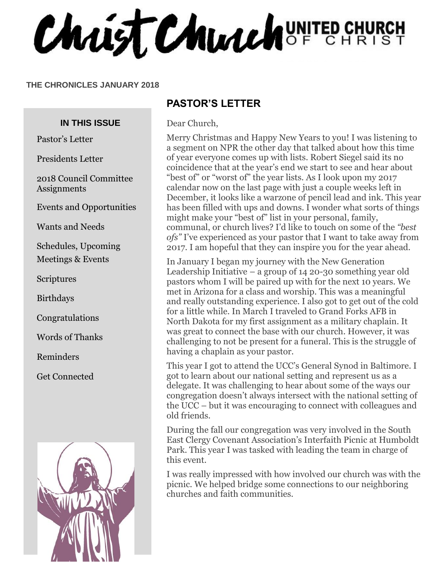Chaist Church UNITED CHURCH

#### **THE CHRONICLES JANUARY 2018**

#### **IN THIS ISSUE**

Pastor's Letter

Presidents Letter

2018 Council Committee Assignments

Events and Opportunities

Wants and Needs

Schedules, Upcoming Meetings & Events

Scriptures

Birthdays

Congratulations

Words of Thanks

Reminders

Get Connected



#### **PASTOR'S LETTER**

Dear Church,

Merry Christmas and Happy New Years to you! I was listening to a segment on NPR the other day that talked about how this time of year everyone comes up with lists. Robert Siegel said its no coincidence that at the year's end we start to see and hear about "best of" or "worst of" the year lists. As I look upon my 2017 calendar now on the last page with just a couple weeks left in December, it looks like a warzone of pencil lead and ink. This year has been filled with ups and downs. I wonder what sorts of things might make your "best of" list in your personal, family, communal, or church lives? I'd like to touch on some of the *"best ofs"* I've experienced as your pastor that I want to take away from 2017. I am hopeful that they can inspire you for the year ahead.

In January I began my journey with the New Generation Leadership Initiative – a group of 14 20-30 something year old pastors whom I will be paired up with for the next 10 years. We met in Arizona for a class and worship. This was a meaningful and really outstanding experience. I also got to get out of the cold for a little while. In March I traveled to Grand Forks AFB in North Dakota for my first assignment as a military chaplain. It was great to connect the base with our church. However, it was challenging to not be present for a funeral. This is the struggle of having a chaplain as your pastor.

This year I got to attend the UCC's General Synod in Baltimore. I got to learn about our national setting and represent us as a delegate. It was challenging to hear about some of the ways our congregation doesn't always intersect with the national setting of the UCC – but it was encouraging to connect with colleagues and old friends.

During the fall our congregation was very involved in the South East Clergy Covenant Association's Interfaith Picnic at Humboldt Park. This year I was tasked with leading the team in charge of this event.

I was really impressed with how involved our church was with the picnic. We helped bridge some connections to our neighboring churches and faith communities.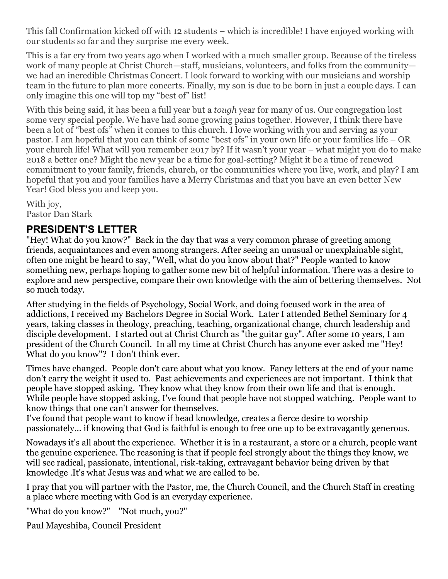This fall Confirmation kicked off with 12 students – which is incredible! I have enjoyed working with our students so far and they surprise me every week.

This is a far cry from two years ago when I worked with a much smaller group. Because of the tireless work of many people at Christ Church—staff, musicians, volunteers, and folks from the community we had an incredible Christmas Concert. I look forward to working with our musicians and worship team in the future to plan more concerts. Finally, my son is due to be born in just a couple days. I can only imagine this one will top my "best of" list!

With this being said, it has been a full year but a *tough* year for many of us. Our congregation lost some very special people. We have had some growing pains together. However, I think there have been a lot of "best ofs" when it comes to this church. I love working with you and serving as your pastor. I am hopeful that you can think of some "best ofs" in your own life or your families life – OR your church life! What will you remember 2017 by? If it wasn't your year – what might you do to make 2018 a better one? Might the new year be a time for goal-setting? Might it be a time of renewed commitment to your family, friends, church, or the communities where you live, work, and play? I am hopeful that you and your families have a Merry Christmas and that you have an even better New Year! God bless you and keep you.

With joy, Pastor Dan Stark

#### **PRESIDENT'S LETTER**

"Hey! What do you know?" Back in the day that was a very common phrase of greeting among friends, acquaintances and even among strangers. After seeing an unusual or unexplainable sight, often one might be heard to say, "Well, what do you know about that?" People wanted to know something new, perhaps hoping to gather some new bit of helpful information. There was a desire to explore and new perspective, compare their own knowledge with the aim of bettering themselves. Not so much today.

After studying in the fields of Psychology, Social Work, and doing focused work in the area of addictions, I received my Bachelors Degree in Social Work. Later I attended Bethel Seminary for 4 years, taking classes in theology, preaching, teaching, organizational change, church leadership and disciple development. I started out at Christ Church as "the guitar guy". After some 10 years, I am president of the Church Council. In all my time at Christ Church has anyone ever asked me "Hey! What do you know"? I don't think ever.

Times have changed. People don't care about what you know. Fancy letters at the end of your name don't carry the weight it used to. Past achievements and experiences are not important. I think that people have stopped asking. They know what they know from their own life and that is enough. While people have stopped asking, I've found that people have not stopped watching. People want to know things that one can't answer for themselves.

I've found that people want to know if head knowledge, creates a fierce desire to worship passionately... if knowing that God is faithful is enough to free one up to be extravagantly generous.

Nowadays it's all about the experience. Whether it is in a restaurant, a store or a church, people want the genuine experience. The reasoning is that if people feel strongly about the things they know, we will see radical, passionate, intentional, risk-taking, extravagant behavior being driven by that knowledge .It's what Jesus was and what we are called to be.

I pray that you will partner with the Pastor, me, the Church Council, and the Church Staff in creating a place where meeting with God is an everyday experience.

"What do you know?" "Not much, you?"

Paul Mayeshiba, Council President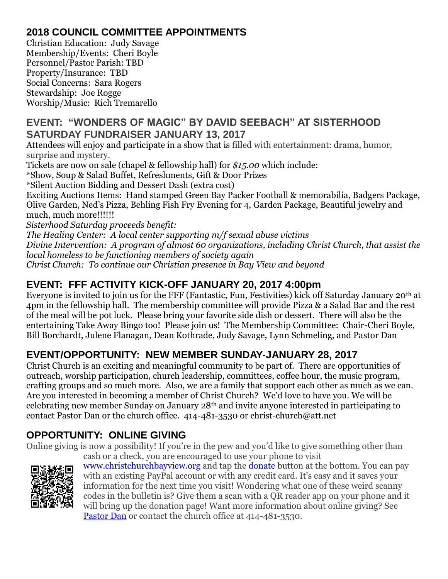## **2018 COUNCIL COMMITTEE APPOINTMENTS**

Christian Education: Judy Savage Membership/Events: Cheri Boyle Personnel/Pastor Parish: TBD Property/Insurance: TBD Social Concerns: Sara Rogers Stewardship: Joe Rogge Worship/Music: Rich Tremarello

#### **EVENT: "WONDERS OF MAGIC" BY DAVID SEEBACH" AT SISTERHOOD SATURDAY FUNDRAISER JANUARY 13, 2017**

Attendees will enjoy and participate in a show that is filled with entertainment: drama, humor, surprise and mystery.

Tickets are now on sale (chapel & fellowship hall) for *\$15.00* which include:

\*Show, Soup & Salad Buffet, Refreshments, Gift & Door Prizes

\*Silent Auction Bidding and Dessert Dash (extra cost)

Exciting Auctions Items: Hand stamped Green Bay Packer Football & memorabilia, Badgers Package, Olive Garden, Ned's Pizza, Behling Fish Fry Evening for 4, Garden Package, Beautiful jewelry and much, much more!!!!!!

*Sisterhood Saturday proceeds benefit:* 

*The Healing Center: A local center supporting m/f sexual abuse victims Divine Intervention: A program of almost 60 organizations, including Christ Church, that assist the local homeless to be functioning members of society again Christ Church: To continue our Christian presence in Bay View and beyond*

#### **EVENT: FFF ACTIVITY KICK-OFF JANUARY 20, 2017 4:00pm**

Everyone is invited to join us for the FFF (Fantastic, Fun, Festivities) kick off Saturday January 20th at 4pm in the fellowship hall. The membership committee will provide Pizza & a Salad Bar and the rest of the meal will be pot luck. Please bring your favorite side dish or dessert. There will also be the entertaining Take Away Bingo too! Please join us! The Membership Committee: Chair-Cheri Boyle, Bill Borchardt, Julene Flanagan, Dean Kothrade, Judy Savage, Lynn Schmeling, and Pastor Dan

## **EVENT/OPPORTUNITY: NEW MEMBER SUNDAY-JANUARY 28, 2017**

Christ Church is an exciting and meaningful community to be part of. There are opportunities of outreach, worship participation, church leadership, committees, coffee hour, the music program, crafting groups and so much more. Also, we are a family that support each other as much as we can. Are you interested in becoming a member of Christ Church? We'd love to have you. We will be celebrating new member Sunday on January 28th and invite anyone interested in participating to contact Pastor Dan or the church office. 414-481-3530 or christ-church@att.net

## **OPPORTUNITY: ONLINE GIVING**

Online giving is now a possibility! If you're in the pew and you'd like to give something other than



cash or a check, you are encouraged to use your phone to visit [www.christchurchbayview.org](http://www.christchurchbayview.org/) and tap the <u>donate</u> button at the bottom. You can pay with an existing PayPal account or with any credit card. It's easy and it saves your information for the next time you visit! Wondering what one of these weird scanny codes in the bulletin is? Give them a scan with a QR reader app on your phone and it will bring up the donation page! Want more information about online giving? See [Pastor Dan](mailto:dan_stark@att.net) or contact the church office at 414-481-3530.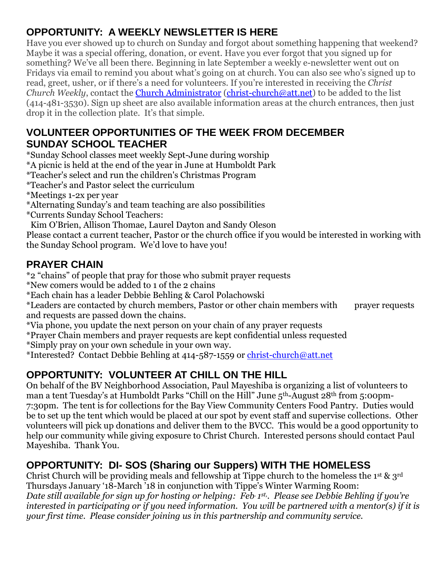## **OPPORTUNITY: A WEEKLY NEWSLETTER IS HERE**

Have you ever showed up to church on Sunday and forgot about something happening that weekend? Maybe it was a special offering, donation, or event. Have you ever forgot that you signed up for something? We've all been there. Beginning in late September a weekly e-newsletter went out on Fridays via email to remind you about what's going on at church. You can also see who's signed up to read, greet, usher, or if there's a need for volunteers. If you're interested in receiving the *Christ Church Weekly*, contact the [Church Administrator](mailto:christ-church@att.net) [\(christ-church@att.net\)](mailto:christ-church@att.net) to be added to the list (414-481-3530). Sign up sheet are also available information areas at the church entrances, then just drop it in the collection plate. It's that simple.

#### **VOLUNTEER OPPORTUNITIES OF THE WEEK FROM DECEMBER SUNDAY SCHOOL TEACHER**

\*Sunday School classes meet weekly Sept-June during worship

\*A picnic is held at the end of the year in June at Humboldt Park

\*Teacher's select and run the children's Christmas Program

\*Teacher's and Pastor select the curriculum

\*Meetings 1-2x per year

- \*Alternating Sunday's and team teaching are also possibilities
- \*Currents Sunday School Teachers:

 Kim O'Brien, Allison Thomae, Laurel Dayton and Sandy Oleson Please contact a current teacher, Pastor or the church office if you would be interested in working with the Sunday School program. We'd love to have you!

#### **PRAYER CHAIN**

\*2 "chains" of people that pray for those who submit prayer requests

\*New comers would be added to 1 of the 2 chains

\*Each chain has a leader Debbie Behling & Carol Polachowski

\*Leaders are contacted by church members, Pastor or other chain members with prayer requests and requests are passed down the chains.

\*Via phone, you update the next person on your chain of any prayer requests

\*Prayer Chain members and prayer requests are kept confidential unless requested

\*Simply pray on your own schedule in your own way.

\*Interested? Contact Debbie Behling at 414-587-1559 or [christ-church@att.net](mailto:christ-church@att.net)

## **OPPORTUNITY: VOLUNTEER AT CHILL ON THE HILL**

On behalf of the BV Neighborhood Association, Paul Mayeshiba is organizing a list of volunteers to man a tent Tuesday's at Humboldt Parks "Chill on the Hill" June 5th-August 28th from 5:00pm-7:30pm. The tent is for collections for the Bay View Community Centers Food Pantry. Duties would be to set up the tent which would be placed at our spot by event staff and supervise collections. Other volunteers will pick up donations and deliver them to the BVCC. This would be a good opportunity to help our community while giving exposure to Christ Church. Interested persons should contact Paul Mayeshiba. Thank You.

## **OPPORTUNITY: DI- SOS (Sharing our Suppers) WITH THE HOMELESS**

Christ Church will be providing meals and fellowship at Tippe church to the homeless the 1<sup>st</sup>  $\&$  3<sup>rd</sup> Thursdays January '18-March '18 in conjunction with Tippe's Winter Warming Room: *Date still available for sign up for hosting or helping: Feb. 1 st, . Please see Debbie Behling if you're interested in participating or if you need information. You will be partnered with a mentor(s) if it is your first time. Please consider joining us in this partnership and community service.*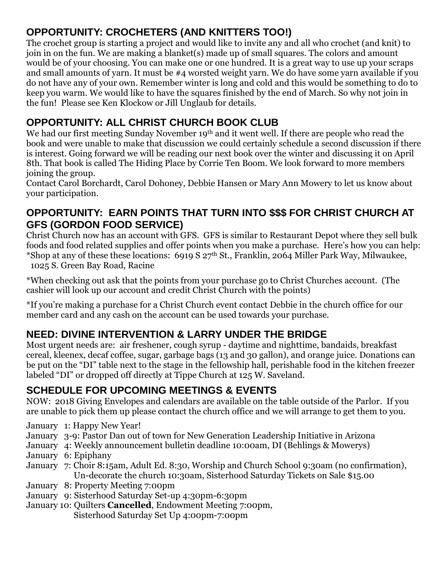## **OPPORTUNITY: CROCHETERS (AND KNITTERS TOO!)**

The crochet group is starting a project and would like to invite any and all who crochet (and knit) to join in on the fun. We are making a blanket(s) made up of small squares. The colors and amount would be of your choosing. You can make one or one hundred. It is a great way to use up your scraps and small amounts of yarn. It must be #4 worsted weight yarn. We do have some yarn available if you do not have any of your own. Remember winter is long and cold and this would be something to do to keep you warm. We would like to have the squares finished by the end of March. So why not join in the fun! Please see Ken Klockow or Jill Unglaub for details.

# **OPPORTUNITY: ALL CHRIST CHURCH BOOK CLUB**

We had our first meeting Sunday November 19<sup>th</sup> and it went well. If there are people who read the book and were unable to make that discussion we could certainly schedule a second discussion if there is interest. Going forward we will be reading our next book over the winter and discussing it on April 8th. That book is called The Hiding Place by Corrie Ten Boom. We look forward to more members joining the group.

Contact Carol Borchardt, Carol Dohoney, Debbie Hansen or Mary Ann Mowery to let us know about your participation.

#### **OPPORTUNITY: EARN POINTS THAT TURN INTO \$\$\$ FOR CHRIST CHURCH AT GFS (GORDON FOOD SERVICE)**

Christ Church now has an account with GFS. GFS is similar to Restaurant Depot where they sell bulk foods and food related supplies and offer points when you make a purchase. Here's how you can help: \*Shop at any of these these locations:  $6919 S 27<sup>th</sup>$  St., Franklin, 2064 Miller Park Way, Milwaukee,

1025 S. Green Bay Road, Racine

\*When checking out ask that the points from your purchase go to Christ Churches account. (The cashier will look up our account and credit Christ Church with the points)

\*If you're making a purchase for a Christ Church event contact Debbie in the church office for our member card and any cash on the account can be used towards your purchase.

# **NEED: DIVINE INTERVENTION & LARRY UNDER THE BRIDGE**

Most urgent needs are: air freshener, cough syrup - daytime and nighttime, bandaids, breakfast cereal, kleenex, decaf coffee, sugar, garbage bags (13 and 30 gallon), and orange juice. Donations can be put on the "DI" table next to the stage in the fellowship hall, perishable food in the kitchen freezer labeled "DI" or dropped off directly at Tippe Church at 125 W. Saveland.

## **SCHEDULE FOR UPCOMING MEETINGS & EVENTS**

NOW: 2018 Giving Envelopes and calendars are available on the table outside of the Parlor. If you are unable to pick them up please contact the church office and we will arrange to get them to you.

- January 1: Happy New Year!
- January 3-9: Pastor Dan out of town for New Generation Leadership Initiative in Arizona
- January 4: Weekly announcement bulletin deadline 10:00am, DI (Behlings & Mowerys)
- January 6: Epiphany
- January 7: Choir 8:15am, Adult Ed. 8:30, Worship and Church School 9:30am (no confirmation), Un-decorate the church 10:30am, Sisterhood Saturday Tickets on Sale \$15.00
- January 8: Property Meeting 7:00pm
- January 9: Sisterhood Saturday Set-up 4:30pm-6:30pm
- January 10: Quilters **Cancelled**, Endowment Meeting 7:00pm, Sisterhood Saturday Set Up 4:00pm-7:00pm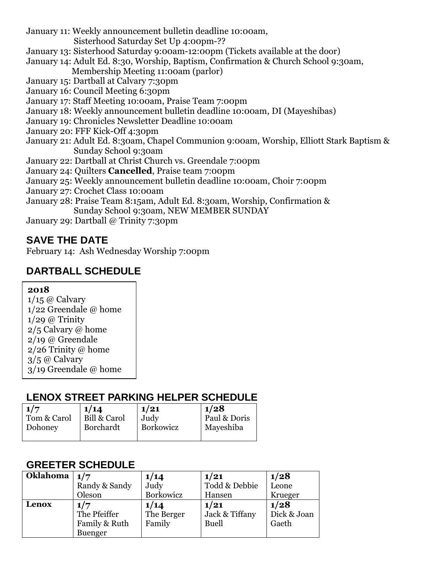January 11: Weekly announcement bulletin deadline 10:00am,

Sisterhood Saturday Set Up 4:00pm-??

- January 13: Sisterhood Saturday 9:00am-12:00pm (Tickets available at the door)
- January 14: Adult Ed. 8:30, Worship, Baptism, Confirmation & Church School 9:30am, Membership Meeting 11:00am (parlor)
- January 15: Dartball at Calvary 7:30pm
- January 16: Council Meeting 6:30pm
- January 17: Staff Meeting 10:00am, Praise Team 7:00pm
- January 18: Weekly announcement bulletin deadline 10:00am, DI (Mayeshibas)
- January 19: Chronicles Newsletter Deadline 10:00am
- January 20: FFF Kick-Off 4:30pm
- January 21: Adult Ed. 8:30am, Chapel Communion 9:00am, Worship, Elliott Stark Baptism & Sunday School 9:30am
- January 22: Dartball at Christ Church vs. Greendale 7:00pm
- January 24: Quilters **Cancelled**, Praise team 7:00pm
- January 25: Weekly announcement bulletin deadline 10:00am, Choir 7:00pm
- January 27: Crochet Class 10:00am
- January 28: Praise Team 8:15am, Adult Ed. 8:30am, Worship, Confirmation & Sunday School 9:30am, NEW MEMBER SUNDAY
- January 29: Dartball @ Trinity 7:30pm

#### **SAVE THE DATE**

February 14: Ash Wednesday Worship 7:00pm

#### **DARTBALL SCHEDULE**

#### **2018**

 $1/15$  @ Calvary 1/22 Greendale @ home  $1/29$  @ Trinity 2/5 Calvary @ home 2/19 @ Greendale 2/26 Trinity @ home 3/5 @ Calvary 3/19 Greendale @ home

#### **LENOX STREET PARKING HELPER SCHEDULE**

| 1/7         | 1/14             | 1/21      | 1/28         |
|-------------|------------------|-----------|--------------|
| Tom & Carol | Bill & Carol     | Judy      | Paul & Doris |
| Dohoney     | <b>Borchardt</b> | Borkowicz | Mayeshiba    |
|             |                  |           |              |

#### **GREETER SCHEDULE**

| Oklahoma $\left  \frac{1}{7} \right $ |                | 1/14       | 1/21           | 1/28        |
|---------------------------------------|----------------|------------|----------------|-------------|
|                                       | Randy & Sandy  | Judy       | Todd & Debbie  | Leone       |
|                                       | Oleson         | Borkowicz  | Hansen         | Krueger     |
| Lenox                                 | 1/7            | 1/14       | 1/21           | 1/28        |
|                                       | The Pfeiffer   | The Berger | Jack & Tiffany | Dick & Joan |
|                                       | Family & Ruth  | Family     | <b>Buell</b>   | Gaeth       |
|                                       | <b>Buenger</b> |            |                |             |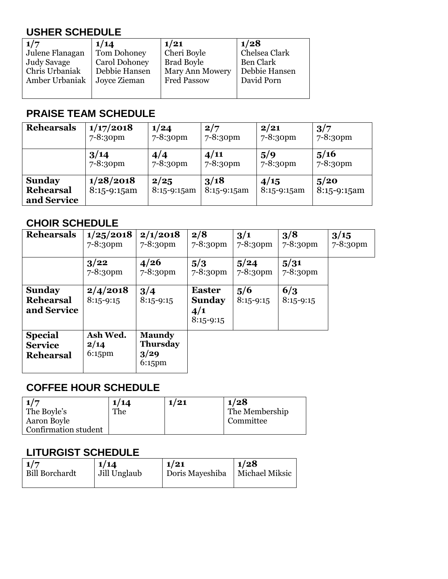## **USHER SCHEDULE**

| 1/7             | 1/14                 | 1/21                   | 1/28             |
|-----------------|----------------------|------------------------|------------------|
| Julene Flanagan | Tom Dohoney          | Cheri Boyle            | Chelsea Clark    |
| Judy Savage     | <b>Carol Dohoney</b> | <b>Brad Boyle</b>      | <b>Ben Clark</b> |
| Chris Urbaniak  | Debbie Hansen        | <b>Mary Ann Mowery</b> | Debbie Hansen    |
| Amber Urbaniak  | Joyce Zieman         | <b>Fred Passow</b>     | David Porn       |
|                 |                      |                        |                  |
|                 |                      |                        |                  |

#### **PRAISE TEAM SCHEDULE**

| <b>Rehearsals</b>                                | 1/17/2018                  | 1/24                  | 2/7                   | 2/21                | 3/7                   |
|--------------------------------------------------|----------------------------|-----------------------|-----------------------|---------------------|-----------------------|
|                                                  | 7-8:30pm                   | $7 - 8:30$ pm         | $7 - 8:3$ opm         | $7 - 8:30$ pm       | $7 - 8:30$ pm         |
|                                                  | 3/14                       | 4/4                   | 4/11                  | 5/9                 | 5/16                  |
|                                                  | $7 - 8:3$ opm              | 7-8:30pm              | $7 - 8:30$ pm         | $7 - 8:30$ pm       | $7 - 8:3$ opm         |
| <b>Sunday</b><br><b>Rehearsal</b><br>and Service | 1/28/2018<br>$8:15-9:15am$ | 2/25<br>$8:15-9:15am$ | 3/18<br>$8:15-9:15am$ | 4/15<br>8:15-9:15am | 5/20<br>$8:15-9:15am$ |

#### **CHOIR SCHEDULE**

| <b>Rehearsals</b>                                    | 1/25/2018<br>7-8:30pm         | 2/1/2018<br>$7 - 8:30$ pm                             | 2/8<br>$7 - 8:30$ pm                                 | 3/1<br>7-8:30pm    | 3/8<br>7-8:30pm    | 3/15<br>7-8:30pm |
|------------------------------------------------------|-------------------------------|-------------------------------------------------------|------------------------------------------------------|--------------------|--------------------|------------------|
|                                                      | 3/22<br>$7 - 8:30$ pm         | 4/26<br>7-8:30pm                                      | 5/3<br>7-8:30pm                                      | 5/24<br>7-8:30pm   | 5/31<br>7-8:30pm   |                  |
| <b>Sunday</b><br><b>Rehearsal</b><br>and Service     | 2/4/2018<br>$8:15 - 9:15$     | 3/4<br>$8:15 - 9:15$                                  | <b>Easter</b><br><b>Sunday</b><br>4/1<br>$8:15-9:15$ | 5/6<br>$8:15-9:15$ | 6/3<br>$8:15-9:15$ |                  |
| <b>Special</b><br><b>Service</b><br><b>Rehearsal</b> | Ash Wed.<br>2/14<br>$6:15$ pm | <b>Maundy</b><br><b>Thursday</b><br>3/29<br>$6:15$ pm |                                                      |                    |                    |                  |

#### **COFFEE HOUR SCHEDULE**

| 1/7                  | 1/14 | 1/21 | 1/28           |
|----------------------|------|------|----------------|
| The Boyle's          | The  |      | The Membership |
| Aaron Boyle          |      |      | Committee      |
| Confirmation student |      |      |                |

#### **LITURGIST SCHEDULE**

| $\vert$ 1/7    | 1/14         | 1/21            | 1/28           |
|----------------|--------------|-----------------|----------------|
| Bill Borchardt | Jill Unglaub | Doris Mayeshiba | Michael Miksic |
|                |              |                 |                |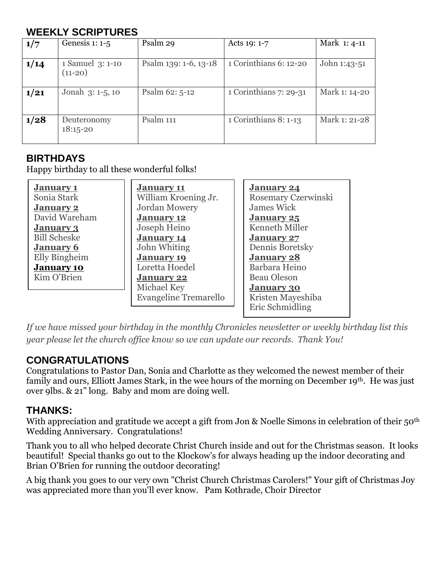#### **WEEKLY SCRIPTURES**

| 1/7  | Genesis $1: 1-5$              | Psalm 29              | Acts 19: 1-7           | Mark 1: 4-11  |
|------|-------------------------------|-----------------------|------------------------|---------------|
| 1/14 | 1 Samuel 3: 1-10<br>$(11-20)$ | Psalm 139: 1-6, 13-18 | 1 Corinthians 6: 12-20 | John 1:43-51  |
| 1/21 | Jonah 3: 1-5, 10              | Psalm 62: 5-12        | 1 Corinthians 7: 29-31 | Mark 1: 14-20 |
| 1/28 | Deuteronomy<br>$18:15 - 20$   | Psalm 111             | 1 Corinthians 8: 1-13  | Mark 1: 21-28 |

#### **BIRTHDAYS**

Happy birthday to all these wonderful folks!

| <b>January 1</b>    | <b>January 11</b>     | <b>January 24</b>   |
|---------------------|-----------------------|---------------------|
| Sonia Stark         | William Kroening Jr.  | Rosemary Czerwinski |
| <b>January 2</b>    | <b>Jordan Mowery</b>  | <b>James Wick</b>   |
| David Wareham       | January 12            | January 25          |
| <b>January 3</b>    | Joseph Heino          | Kenneth Miller      |
| <b>Bill Scheske</b> | <b>January 14</b>     | <b>January 27</b>   |
| <b>January 6</b>    | John Whiting          | Dennis Boretsky     |
| Elly Bingheim       | <b>January 19</b>     | <b>January 28</b>   |
| <b>January 10</b>   | Loretta Hoedel        | Barbara Heino       |
| Kim O'Brien         | January 22            | <b>Beau Oleson</b>  |
|                     | Michael Key           | <b>January 30</b>   |
|                     | Evangeline Tremarello | Kristen Mayeshiba   |
|                     |                       | Eric Schmidling     |

*If we have missed your birthday in the monthly Chronicles newsletter or weekly birthday list this year please let the church office know so we can update our records. Thank You!*

#### **CONGRATULATIONS**

Congratulations to Pastor Dan, Sonia and Charlotte as they welcomed the newest member of their family and ours, Elliott James Stark, in the wee hours of the morning on December 19<sup>th</sup>. He was just over 9lbs. & 21" long. Baby and mom are doing well.

#### **THANKS:**

With appreciation and gratitude we accept a gift from Jon & Noelle Simons in celebration of their 50<sup>th</sup> Wedding Anniversary. Congratulations!

Thank you to all who helped decorate Christ Church inside and out for the Christmas season. It looks beautiful! Special thanks go out to the Klockow's for always heading up the indoor decorating and Brian O'Brien for running the outdoor decorating!

A big thank you goes to our very own "Christ Church Christmas Carolers!" Your gift of Christmas Joy was appreciated more than you'll ever know. Pam Kothrade, Choir Director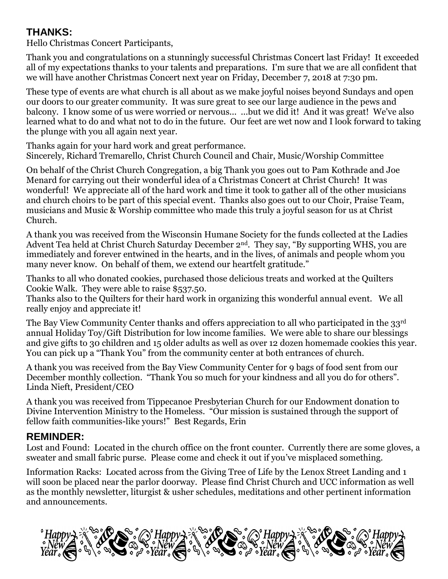#### **THANKS:**

Hello Christmas Concert Participants,

Thank you and congratulations on a stunningly successful Christmas Concert last Friday! It exceeded all of my expectations thanks to your talents and preparations. I'm sure that we are all confident that we will have another Christmas Concert next year on Friday, December 7, 2018 at 7:30 pm.

These type of events are what church is all about as we make joyful noises beyond Sundays and open our doors to our greater community. It was sure great to see our large audience in the pews and balcony. I know some of us were worried or nervous... ...but we did it! And it was great! We've also learned what to do and what not to do in the future. Our feet are wet now and I look forward to taking the plunge with you all again next year.

Thanks again for your hard work and great performance. Sincerely, Richard Tremarello, Christ Church Council and Chair, Music/Worship Committee

On behalf of the Christ Church Congregation, a big Thank you goes out to Pam Kothrade and Joe Menard for carrying out their wonderful idea of a Christmas Concert at Christ Church! It was wonderful! We appreciate all of the hard work and time it took to gather all of the other musicians and church choirs to be part of this special event. Thanks also goes out to our Choir, Praise Team, musicians and Music & Worship committee who made this truly a joyful season for us at Christ Church.

A thank you was received from the Wisconsin Humane Society for the funds collected at the Ladies Advent Tea held at Christ Church Saturday December 2<sup>nd</sup>. They say, "By supporting WHS, you are immediately and forever entwined in the hearts, and in the lives, of animals and people whom you many never know. On behalf of them, we extend our heartfelt gratitude."

Thanks to all who donated cookies, purchased those delicious treats and worked at the Quilters Cookie Walk. They were able to raise \$537.50.

Thanks also to the Quilters for their hard work in organizing this wonderful annual event. We all really enjoy and appreciate it!

The Bay View Community Center thanks and offers appreciation to all who participated in the 33<sup>rd</sup> annual Holiday Toy/Gift Distribution for low income families. We were able to share our blessings and give gifts to 30 children and 15 older adults as well as over 12 dozen homemade cookies this year. You can pick up a "Thank You" from the community center at both entrances of church.

A thank you was received from the Bay View Community Center for 9 bags of food sent from our December monthly collection. "Thank You so much for your kindness and all you do for others". Linda Nieft, President/CEO

A thank you was received from Tippecanoe Presbyterian Church for our Endowment donation to Divine Intervention Ministry to the Homeless. "Our mission is sustained through the support of fellow faith communities-like yours!" Best Regards, Erin

## **REMINDER:**

Lost and Found: Located in the church office on the front counter. Currently there are some gloves, a sweater and small fabric purse. Please come and check it out if you've misplaced something.

Information Racks: Located across from the Giving Tree of Life by the Lenox Street Landing and 1 will soon be placed near the parlor doorway. Please find Christ Church and UCC information as well as the monthly newsletter, liturgist & usher schedules, meditations and other pertinent information and announcements.